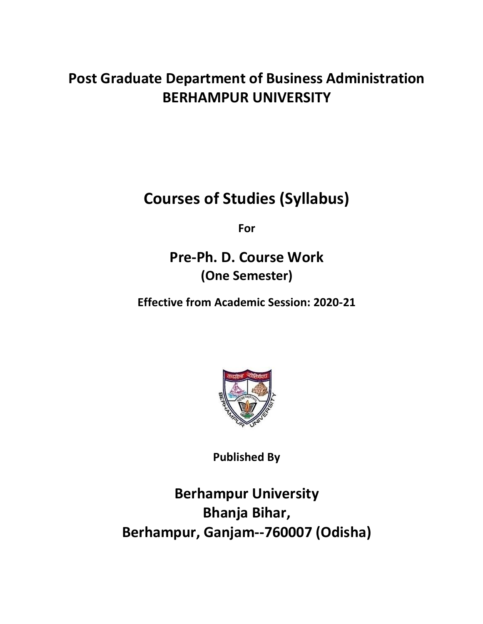# **Post Graduate Department of Business Administration BERHAMPUR UNIVERSITY**

**Courses of Studies (Syllabus)**

**For**

**Pre-Ph. D. Course Work (One Semester)**

**Effective from Academic Session: 2020-21**



**Published By**

**Berhampur University Bhanja Bihar, Berhampur, Ganjam--760007 (Odisha)**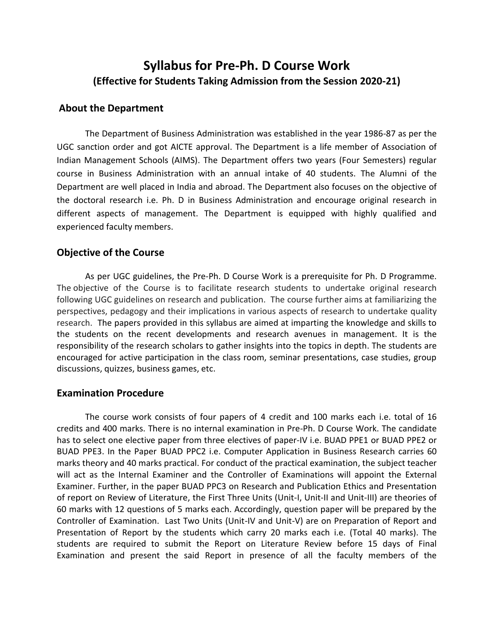# **Syllabus for Pre-Ph. D Course Work (Effective for Students Taking Admission from the Session 2020-21)**

# **About the Department**

The Department of Business Administration was established in the year 1986-87 as per the UGC sanction order and got AICTE approval. The Department is a life member of Association of Indian Management Schools (AIMS). The Department offers two years (Four Semesters) regular course in Business Administration with an annual intake of 40 students. The Alumni of the Department are well placed in India and abroad. The Department also focuses on the objective of the doctoral research i.e. Ph. D in Business Administration and encourage original research in different aspects of management. The Department is equipped with highly qualified and experienced faculty members.

# **Objective of the Course**

As per UGC guidelines, the Pre-Ph. D Course Work is a prerequisite for Ph. D Programme. The objective of the Course is to facilitate research students to undertake original research following UGC guidelines on research and publication. The course further aims at familiarizing the perspectives, pedagogy and their implications in various aspects of research to undertake quality research. The papers provided in this syllabus are aimed at imparting the knowledge and skills to the students on the recent developments and research avenues in management. It is the responsibility of the research scholars to gather insights into the topics in depth. The students are encouraged for active participation in the class room, seminar presentations, case studies, group discussions, quizzes, business games, etc.

### **Examination Procedure**

The course work consists of four papers of 4 credit and 100 marks each i.e. total of 16 credits and 400 marks. There is no internal examination in Pre-Ph. D Course Work. The candidate has to select one elective paper from three electives of paper-IV i.e. BUAD PPE1 or BUAD PPE2 or BUAD PPE3. In the Paper BUAD PPC2 i.e. Computer Application in Business Research carries 60 marks theory and 40 marks practical. For conduct of the practical examination, the subject teacher will act as the Internal Examiner and the Controller of Examinations will appoint the External Examiner. Further, in the paper BUAD PPC3 on Research and Publication Ethics and Presentation of report on Review of Literature, the First Three Units (Unit-I, Unit-II and Unit-III) are theories of 60 marks with 12 questions of 5 marks each. Accordingly, question paper will be prepared by the Controller of Examination. Last Two Units (Unit-IV and Unit-V) are on Preparation of Report and Presentation of Report by the students which carry 20 marks each i.e. (Total 40 marks). The students are required to submit the Report on Literature Review before 15 days of Final Examination and present the said Report in presence of all the faculty members of the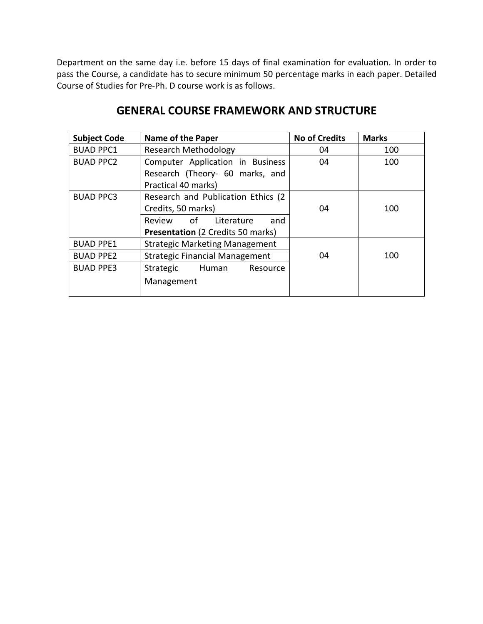Department on the same day i.e. before 15 days of final examination for evaluation. In order to pass the Course, a candidate has to secure minimum 50 percentage marks in each paper. Detailed Course of Studies for Pre-Ph. D course work is as follows.

| <b>Subject Code</b> | Name of the Paper                        | <b>No of Credits</b> | <b>Marks</b> |
|---------------------|------------------------------------------|----------------------|--------------|
| <b>BUAD PPC1</b>    | <b>Research Methodology</b>              | 04                   | 100          |
| <b>BUAD PPC2</b>    | Computer Application in Business         | 04                   | 100          |
|                     | Research (Theory- 60 marks, and          |                      |              |
|                     | Practical 40 marks)                      |                      |              |
| <b>BUAD PPC3</b>    | Research and Publication Ethics (2)      |                      |              |
|                     | Credits, 50 marks)                       | 04                   | 100          |
|                     | Review of<br>Literature<br>and           |                      |              |
|                     | <b>Presentation</b> (2 Credits 50 marks) |                      |              |
| <b>BUAD PPE1</b>    | <b>Strategic Marketing Management</b>    |                      |              |
| <b>BUAD PPE2</b>    | <b>Strategic Financial Management</b>    | 04                   | 100          |
| <b>BUAD PPE3</b>    | Strategic<br>Human<br>Resource           |                      |              |
|                     | Management                               |                      |              |

# **GENERAL COURSE FRAMEWORK AND STRUCTURE**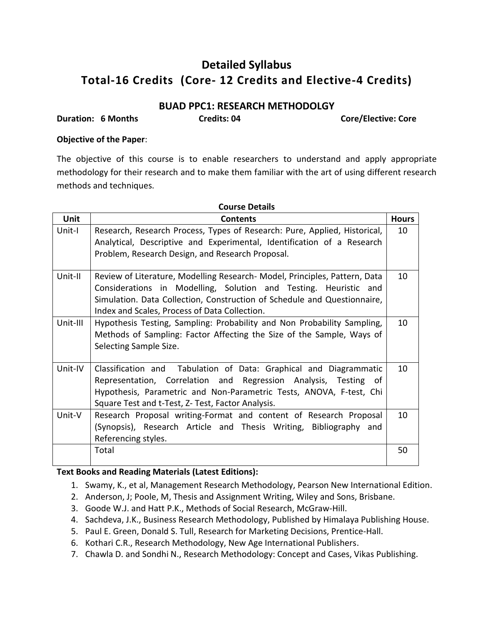# **Detailed Syllabus Total-16 Credits (Core- 12 Credits and Elective-4 Credits)**

# **BUAD PPC1: RESEARCH METHODOLGY**

**Duration: 6 Months Credits: 04 Core/Elective: Core**

## **Objective of the Paper**:

The objective of this course is to enable researchers to understand and apply appropriate methodology for their research and to make them familiar with the art of using different research methods and techniques.

| <b>Course Details</b> |                                                                                                                                                                                                                                                                             |              |
|-----------------------|-----------------------------------------------------------------------------------------------------------------------------------------------------------------------------------------------------------------------------------------------------------------------------|--------------|
| <b>Unit</b>           | <b>Contents</b>                                                                                                                                                                                                                                                             | <b>Hours</b> |
| Unit-I                | Research, Research Process, Types of Research: Pure, Applied, Historical,<br>Analytical, Descriptive and Experimental, Identification of a Research<br>Problem, Research Design, and Research Proposal.                                                                     | 10           |
| Unit-II               | Review of Literature, Modelling Research- Model, Principles, Pattern, Data<br>Considerations in Modelling, Solution and Testing. Heuristic and<br>Simulation. Data Collection, Construction of Schedule and Questionnaire,<br>Index and Scales, Process of Data Collection. | 10           |
| Unit-III              | Hypothesis Testing, Sampling: Probability and Non Probability Sampling,<br>Methods of Sampling: Factor Affecting the Size of the Sample, Ways of<br>Selecting Sample Size.                                                                                                  | 10           |
| Unit-IV               | Classification and Tabulation of Data: Graphical and Diagrammatic<br>Representation, Correlation and Regression Analysis, Testing<br>ot -<br>Hypothesis, Parametric and Non-Parametric Tests, ANOVA, F-test, Chi<br>Square Test and t-Test, Z- Test, Factor Analysis.       | 10           |
| Unit-V                | Research Proposal writing-Format and content of Research Proposal<br>(Synopsis), Research Article and Thesis Writing, Bibliography and<br>Referencing styles.                                                                                                               | 10           |
|                       | Total                                                                                                                                                                                                                                                                       | 50           |

- 1. Swamy, K., et al, Management Research Methodology, [Pearson New International Edition.](http://www.amazon.in/Research-Education-Pearson-New-International-ebook/dp/B00IZ0GBFU/ref=dp_kinw_strp_1)
- 2. Anderson, J; Poole, M, Thesis and Assignment Writing, Wiley and Sons, Brisbane.
- 3. Goode W.J. and Hatt P.K., Methods of Social Research, McGraw-Hill.
- 4. Sachdeva, J.K., Business Research Methodology, Published by Himalaya Publishing House.
- 5. Paul E. Green, Donald S. Tull, Research for Marketing Decisions, Prentice-Hall.
- 6. Kothari C.R., Research Methodology, New Age International Publishers.
- 7. [Chawla](http://www.vikaspublishing.com/author-details/-dr-deepak-chawla/3150) D. and [Sondhi](http://www.vikaspublishing.com/author-details/-dr-neena-sondhi/3247) N., Research Methodology: Concept and Cases, Vikas Publishing.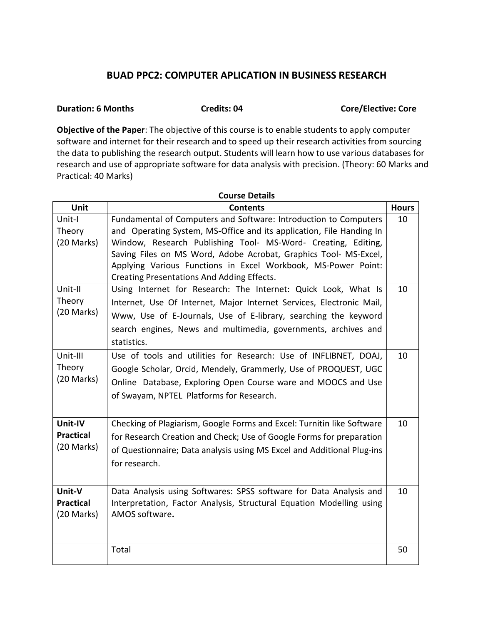# **BUAD PPC2: COMPUTER APLICATION IN BUSINESS RESEARCH**

#### **Duration: 6 Months Credits: 04** Credits: 04 Core/Elective: Core

**Objective of the Paper**: The objective of this course is to enable students to apply computer software and internet for their research and to speed up their research activities from sourcing the data to publishing the research output. Students will learn how to use various databases for research and use of appropriate software for data analysis with precision. (Theory: 60 Marks and Practical: 40 Marks)

| <b>Course Details</b>                     |                                                                                                                                                                                                                                                                                                                                                                                              |              |
|-------------------------------------------|----------------------------------------------------------------------------------------------------------------------------------------------------------------------------------------------------------------------------------------------------------------------------------------------------------------------------------------------------------------------------------------------|--------------|
| Unit                                      | <b>Contents</b>                                                                                                                                                                                                                                                                                                                                                                              | <b>Hours</b> |
| Unit-I<br>Theory<br>(20 Marks)            | Fundamental of Computers and Software: Introduction to Computers<br>and Operating System, MS-Office and its application, File Handing In<br>Window, Research Publishing Tool- MS-Word- Creating, Editing,<br>Saving Files on MS Word, Adobe Acrobat, Graphics Tool- MS-Excel,<br>Applying Various Functions in Excel Workbook, MS-Power Point:<br>Creating Presentations And Adding Effects. | 10           |
| Unit-II<br>Theory<br>(20 Marks)           | Using Internet for Research: The Internet: Quick Look, What Is<br>Internet, Use Of Internet, Major Internet Services, Electronic Mail,<br>Www, Use of E-Journals, Use of E-library, searching the keyword<br>search engines, News and multimedia, governments, archives and<br>statistics.                                                                                                   | 10           |
| Unit-III<br>Theory<br>(20 Marks)          | Use of tools and utilities for Research: Use of INFLIBNET, DOAJ,<br>Google Scholar, Orcid, Mendely, Grammerly, Use of PROQUEST, UGC<br>Online Database, Exploring Open Course ware and MOOCS and Use<br>of Swayam, NPTEL Platforms for Research.                                                                                                                                             | 10           |
| Unit-IV<br><b>Practical</b><br>(20 Marks) | Checking of Plagiarism, Google Forms and Excel: Turnitin like Software<br>for Research Creation and Check; Use of Google Forms for preparation<br>of Questionnaire; Data analysis using MS Excel and Additional Plug-ins<br>for research.                                                                                                                                                    | 10           |
| Unit-V<br><b>Practical</b><br>(20 Marks)  | Data Analysis using Softwares: SPSS software for Data Analysis and<br>Interpretation, Factor Analysis, Structural Equation Modelling using<br>AMOS software.                                                                                                                                                                                                                                 | 10           |
|                                           | Total                                                                                                                                                                                                                                                                                                                                                                                        | 50           |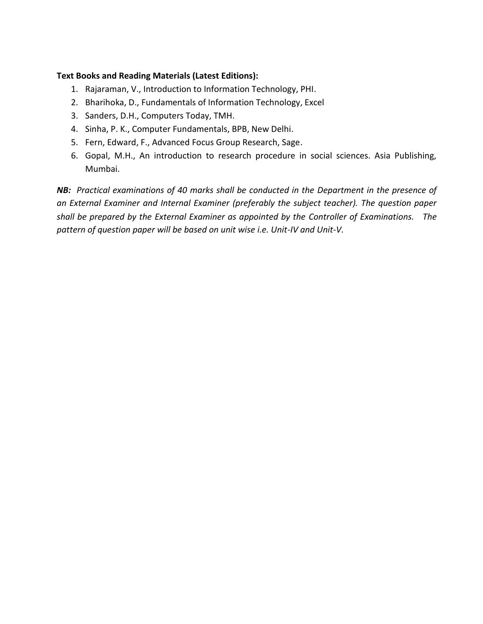# **Text Books and Reading Materials (Latest Editions):**

- 1. Rajaraman, V., Introduction to Information Technology, PHI.
- 2. Bharihoka, D., Fundamentals of Information Technology, Excel
- 3. Sanders, D.H., Computers Today, TMH.
- 4. Sinha, P. K., Computer Fundamentals, BPB, New Delhi.
- 5. Fern, Edward, F., Advanced Focus Group Research, Sage.
- 6. Gopal, M.H., An introduction to research procedure in social sciences. Asia Publishing, Mumbai.

*NB: Practical examinations of 40 marks shall be conducted in the Department in the presence of an External Examiner and Internal Examiner (preferably the subject teacher). The question paper shall be prepared by the External Examiner as appointed by the Controller of Examinations. The pattern of question paper will be based on unit wise i.e. Unit-IV and Unit-V.*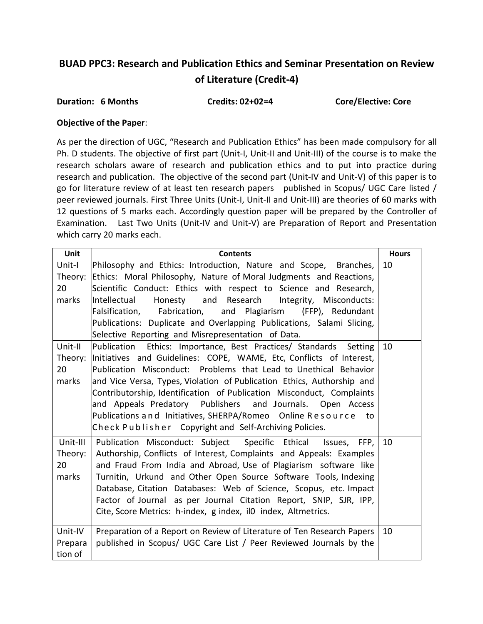# **BUAD PPC3: Research and Publication Ethics and Seminar Presentation on Review of Literature (Credit-4)**

#### Duration: 6 Months **Credits: 02+02=4** Core/Elective: Core

#### **Objective of the Paper**:

As per the direction of UGC, "Research and Publication Ethics" has been made compulsory for all Ph. D students. The objective of first part (Unit-I, Unit-II and Unit-III) of the course is to make the research scholars aware of research and publication ethics and to put into practice during research and publication. The objective of the second part (Unit-IV and Unit-V) of this paper is to go for literature review of at least ten research papers published in Scopus/ UGC Care listed / peer reviewed journals. First Three Units (Unit-I, Unit-II and Unit-III) are theories of 60 marks with 12 questions of 5 marks each. Accordingly question paper will be prepared by the Controller of Examination. Last Two Units (Unit-IV and Unit-V) are Preparation of Report and Presentation which carry 20 marks each.

| Unit     | <b>Contents</b>                                                        | <b>Hours</b> |
|----------|------------------------------------------------------------------------|--------------|
| Unit-I   | Philosophy and Ethics: Introduction, Nature and Scope, Branches,       | 10           |
| Theory:  | Ethics: Moral Philosophy, Nature of Moral Judgments and Reactions,     |              |
| 20       | Scientific Conduct: Ethics with respect to Science and Research,       |              |
| marks    | Honesty and Research Integrity, Misconducts:<br>Intellectual           |              |
|          | Falsification, Fabrication,<br>and Plagiarism (FFP), Redundant         |              |
|          | Publications: Duplicate and Overlapping Publications, Salami Slicing,  |              |
|          | Selective Reporting and Misrepresentation of Data.                     |              |
| Unit-II  | Publication Ethics: Importance, Best Practices/ Standards Setting      | 10           |
| Theory:  | Initiatives and Guidelines: COPE, WAME, Etc, Conflicts of Interest,    |              |
| 20       | Publication Misconduct: Problems that Lead to Unethical Behavior       |              |
| marks    | and Vice Versa, Types, Violation of Publication Ethics, Authorship and |              |
|          | Contributorship, Identification of Publication Misconduct, Complaints  |              |
|          | and Appeals Predatory Publishers and Journals. Open Access             |              |
|          | Publications and Initiatives, SHERPA/Romeo Online Resource to          |              |
|          | Check Publisher Copyright and Self-Archiving Policies.                 |              |
| Unit-III | Publication Misconduct: Subject Specific Ethical<br>Issues,<br>FFP,    | 10           |
| Theory:  | Authorship, Conflicts of Interest, Complaints and Appeals: Examples    |              |
| 20       | and Fraud From India and Abroad, Use of Plagiarism software like       |              |
| marks    | Turnitin, Urkund and Other Open Source Software Tools, Indexing        |              |
|          | Database, Citation Databases: Web of Science, Scopus, etc. Impact      |              |
|          | Factor of Journal as per Journal Citation Report, SNIP, SJR, IPP,      |              |
|          | Cite, Score Metrics: h-index, g index, il0 index, Altmetrics.          |              |
| Unit-IV  | Preparation of a Report on Review of Literature of Ten Research Papers | 10           |
| Prepara  | published in Scopus/ UGC Care List / Peer Reviewed Journals by the     |              |
| tion of  |                                                                        |              |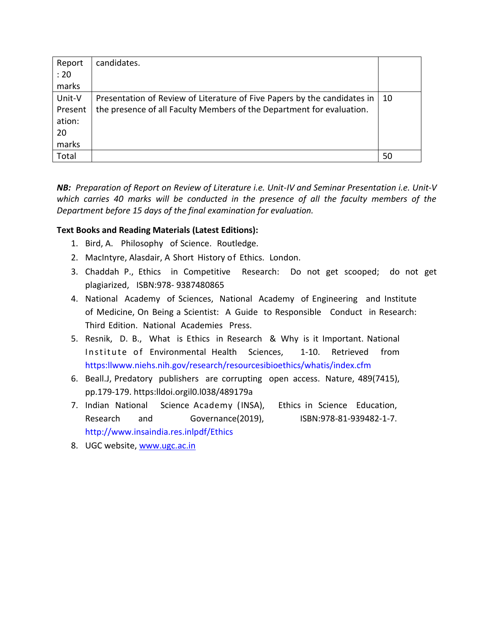| Report  | candidates.                                                              |    |
|---------|--------------------------------------------------------------------------|----|
| : 20    |                                                                          |    |
| marks   |                                                                          |    |
| Unit-V  | Presentation of Review of Literature of Five Papers by the candidates in | 10 |
| Present | the presence of all Faculty Members of the Department for evaluation.    |    |
| ation:  |                                                                          |    |
| 20      |                                                                          |    |
| marks   |                                                                          |    |
| Total   |                                                                          | 50 |

*NB: Preparation of Report on Review of Literature i.e. Unit-IV and Seminar Presentation i.e. Unit-V which carries 40 marks will be conducted in the presence of all the faculty members of the Department before 15 days of the final examination for evaluation.* 

- 1. Bird, A. Philosophy of Science. Routledge.
- 2. MacIntyre, Alasdair, A Short History of Ethics. London.
- 3. Chaddah P., Ethics in Competitive Research: Do not get scooped; do not get plagiarized, ISBN:978- 9387480865
- 4. National Academy of Sciences, National Academy of Engineering and Institute of Medicine, On Being a Scientist: A Guide to Responsible Conduct in Research: Third Edition. National Academies Press.
- 5. Resnik, D. B., What is Ethics in Research & Why is it Important. National Institute of Environmental Health Sciences. 1-10. Retrieved from [https:llwww.niehs.nih.gov/research/resourcesibioethics/whatis/index.cfm](http://www.niehs.nih.gov/research/resourcesibioethics/whatis/index.cfm)
- 6. Beall.J, Predatory publishers are corrupting open access. Nature, 489(7415), pp.179-179. https:lldoi.orgil0.l038/489179a
- 7. Indian National Science Academy (INSA), Ethics in Science Education, Research and Governance(2019), ISBN:978-81-939482-1-7. <http://www.insaindia.res.inlpdf/Ethics>
- 8. UGC website, [www.ugc.ac.in](http://www.ugc.ac.in/)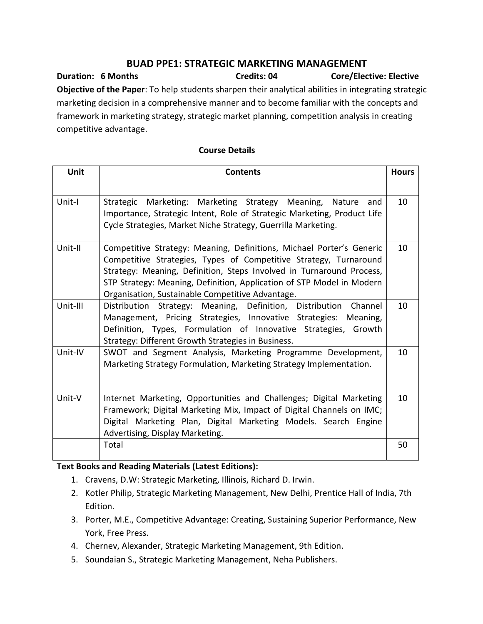# **BUAD PPE1: STRATEGIC MARKETING MANAGEMENT**

**Duration: 6 Months Credits: 04 Core/Elective: Elective Objective of the Paper**: To help students sharpen their analytical abilities in integrating strategic marketing decision in a comprehensive manner and to become familiar with the concepts and framework in marketing strategy, strategic market planning, competition analysis in creating competitive advantage.

| <b>Unit</b> | <b>Contents</b>                                                                                                                                                                                                                                                                                                                                | <b>Hours</b> |
|-------------|------------------------------------------------------------------------------------------------------------------------------------------------------------------------------------------------------------------------------------------------------------------------------------------------------------------------------------------------|--------------|
| Unit-I      | Strategic Marketing: Marketing Strategy Meaning, Nature<br>and<br>Importance, Strategic Intent, Role of Strategic Marketing, Product Life<br>Cycle Strategies, Market Niche Strategy, Guerrilla Marketing.                                                                                                                                     | 10           |
| Unit-II     | Competitive Strategy: Meaning, Definitions, Michael Porter's Generic<br>Competitive Strategies, Types of Competitive Strategy, Turnaround<br>Strategy: Meaning, Definition, Steps Involved in Turnaround Process,<br>STP Strategy: Meaning, Definition, Application of STP Model in Modern<br>Organisation, Sustainable Competitive Advantage. | 10           |
| Unit-III    | Distribution Strategy: Meaning, Definition, Distribution<br>Channel<br>Management, Pricing Strategies, Innovative Strategies: Meaning,<br>Definition, Types, Formulation of Innovative Strategies, Growth<br>Strategy: Different Growth Strategies in Business.                                                                                | 10           |
| Unit-IV     | SWOT and Segment Analysis, Marketing Programme Development,<br>Marketing Strategy Formulation, Marketing Strategy Implementation.                                                                                                                                                                                                              | 10           |
| Unit-V      | Internet Marketing, Opportunities and Challenges; Digital Marketing<br>Framework; Digital Marketing Mix, Impact of Digital Channels on IMC;<br>Digital Marketing Plan, Digital Marketing Models. Search Engine<br>Advertising, Display Marketing.                                                                                              | 10           |
|             | Total                                                                                                                                                                                                                                                                                                                                          | 50           |

## **Course Details**

- 1. Cravens, D.W: Strategic Marketing, Illinois, Richard D. Irwin.
- 2. Kotler Philip, Strategic Marketing Management, New Delhi, Prentice Hall of India, 7th Edition.
- 3. Porter, M.E., Competitive Advantage: Creating, Sustaining Superior Performance, New York, Free Press.
- 4. Chernev, Alexander, Strategic Marketing Management, 9th Edition.
- 5. Soundaian S., Strategic Marketing Management, Neha Publishers.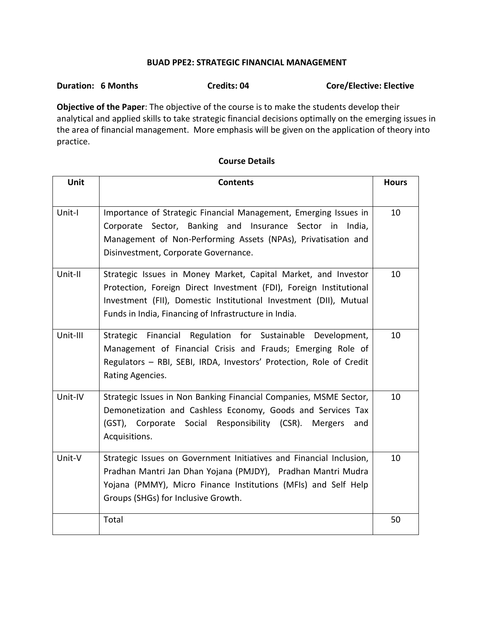### **BUAD PPE2: STRATEGIC FINANCIAL MANAGEMENT**

# Duration: 6 Months **Credits: 04** Credits: 04 Core/Elective: Elective

**Objective of the Paper**: The objective of the course is to make the students develop their analytical and applied skills to take strategic financial decisions optimally on the emerging issues in the area of financial management. More emphasis will be given on the application of theory into practice.

| Unit     | <b>Contents</b>                                                                                                                                                                                                                                                    | <b>Hours</b> |
|----------|--------------------------------------------------------------------------------------------------------------------------------------------------------------------------------------------------------------------------------------------------------------------|--------------|
| Unit-I   | Importance of Strategic Financial Management, Emerging Issues in<br>Corporate Sector, Banking and Insurance Sector in India,<br>Management of Non-Performing Assets (NPAs), Privatisation and<br>Disinvestment, Corporate Governance.                              | 10           |
| Unit-II  | Strategic Issues in Money Market, Capital Market, and Investor<br>Protection, Foreign Direct Investment (FDI), Foreign Institutional<br>Investment (FII), Domestic Institutional Investment (DII), Mutual<br>Funds in India, Financing of Infrastructure in India. | 10           |
| Unit-III | Strategic Financial Regulation for Sustainable Development,<br>Management of Financial Crisis and Frauds; Emerging Role of<br>Regulators - RBI, SEBI, IRDA, Investors' Protection, Role of Credit<br>Rating Agencies.                                              | 10           |
| Unit-IV  | Strategic Issues in Non Banking Financial Companies, MSME Sector,<br>Demonetization and Cashless Economy, Goods and Services Tax<br>(GST), Corporate Social Responsibility (CSR).<br>Mergers<br>and<br>Acquisitions.                                               | 10           |
| Unit-V   | Strategic Issues on Government Initiatives and Financial Inclusion,<br>Pradhan Mantri Jan Dhan Yojana (PMJDY), Pradhan Mantri Mudra<br>Yojana (PMMY), Micro Finance Institutions (MFIs) and Self Help<br>Groups (SHGs) for Inclusive Growth.                       | 10           |
|          | Total                                                                                                                                                                                                                                                              | 50           |

#### **Course Details**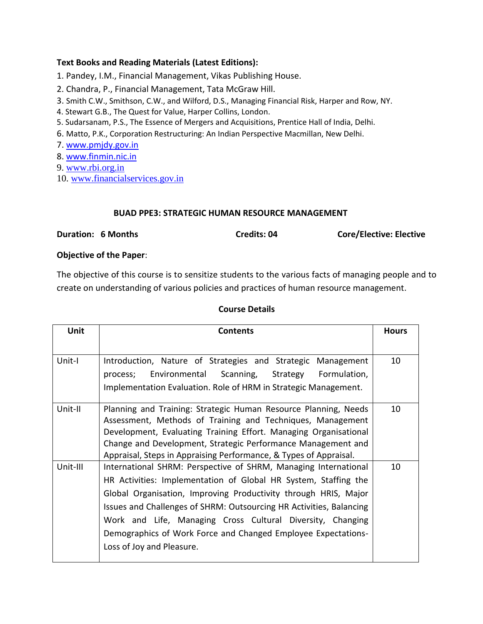## **Text Books and Reading Materials (Latest Editions):**

1. Pandey, I.M., Financial Management, Vikas Publishing House.

- 2. Chandra, P., Financial Management, Tata McGraw Hill.
- 3. Smith C.W., Smithson, C.W., and Wilford, D.S., Managing Financial Risk, Harper and Row, NY.
- 4. Stewart G.B., The Quest for Value, Harper Collins, London.
- 5. Sudarsanam, P.S., The Essence of Mergers and Acquisitions, Prentice Hall of India, Delhi.
- 6. Matto, P.K., Corporation Restructuring: An Indian Perspective Macmillan, New Delhi.

7. [www.pmjdy.gov.in](http://www.pmjdy.gov.in/)

8. [www.finmin.nic.in](http://www.finmin.nic.in/)

9. [www.rbi.org.in](http://www.rbi.org.in/)

10. [www.financialservices.gov.in](http://www.financialservices.gov.in/)

### **BUAD PPE3: STRATEGIC HUMAN RESOURCE MANAGEMENT**

Duration: 6 Months **Credits: 04** Credits: 04 Core/Elective: Elective

### **Objective of the Paper**:

The objective of this course is to sensitize students to the various facts of managing people and to create on understanding of various policies and practices of human resource management.

| <b>Unit</b> | <b>Contents</b>                                                     | <b>Hours</b> |
|-------------|---------------------------------------------------------------------|--------------|
|             |                                                                     |              |
| Unit-I      | Introduction, Nature of Strategies and Strategic Management         | 10           |
|             | process; Environmental Scanning, Strategy<br>Formulation,           |              |
|             | Implementation Evaluation. Role of HRM in Strategic Management.     |              |
| Unit-II     | Planning and Training: Strategic Human Resource Planning, Needs     | 10           |
|             | Assessment, Methods of Training and Techniques, Management          |              |
|             | Development, Evaluating Training Effort. Managing Organisational    |              |
|             | Change and Development, Strategic Performance Management and        |              |
|             | Appraisal, Steps in Appraising Performance, & Types of Appraisal.   |              |
| Unit-III    | International SHRM: Perspective of SHRM, Managing International     | 10           |
|             | HR Activities: Implementation of Global HR System, Staffing the     |              |
|             | Global Organisation, Improving Productivity through HRIS, Major     |              |
|             | Issues and Challenges of SHRM: Outsourcing HR Activities, Balancing |              |
|             | Work and Life, Managing Cross Cultural Diversity, Changing          |              |
|             | Demographics of Work Force and Changed Employee Expectations-       |              |
|             | Loss of Joy and Pleasure.                                           |              |
|             |                                                                     |              |